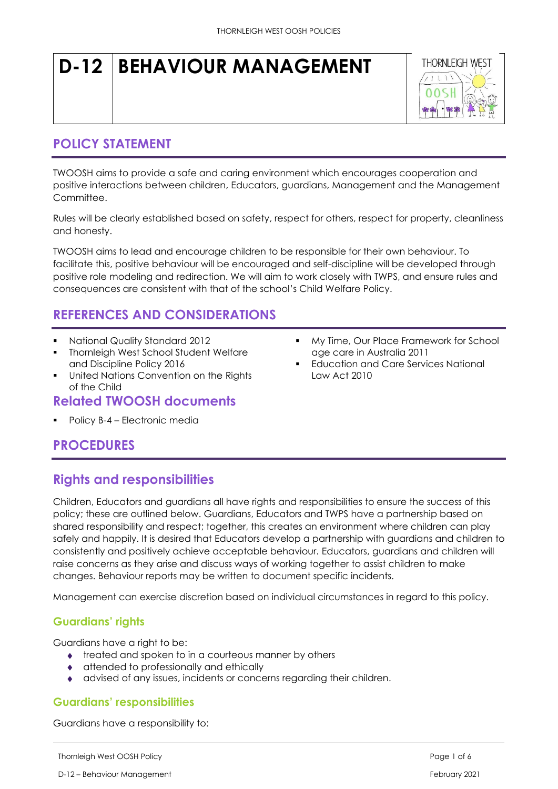# **D-12 BEHAVIOUR MANAGEMENT**



## **POLICY STATEMENT**

TWOOSH aims to provide a safe and caring environment which encourages cooperation and positive interactions between children, Educators, guardians, Management and the Management Committee.

Rules will be clearly established based on safety, respect for others, respect for property, cleanliness and honesty.

TWOOSH aims to lead and encourage children to be responsible for their own behaviour. To facilitate this, positive behaviour will be encouraged and self-discipline will be developed through positive role modeling and redirection. We will aim to work closely with TWPS, and ensure rules and consequences are consistent with that of the school's Child Welfare Policy.

## **REFERENCES AND CONSIDERATIONS**

- National Quality Standard 2012
- **Thornleigh West School Student Welfare** and Discipline Policy 2016
- United Nations Convention on the Rights of the Child

## **Related TWOOSH documents**

Policy B-4 – Electronic media

- My Time, Our Place Framework for School age care in Australia 2011
- **Education and Care Services National** Law Act 2010

# **PROCEDURES**

# **Rights and responsibilities**

Children, Educators and guardians all have rights and responsibilities to ensure the success of this policy; these are outlined below. Guardians, Educators and TWPS have a partnership based on shared responsibility and respect; together, this creates an environment where children can play safely and happily. It is desired that Educators develop a partnership with guardians and children to consistently and positively achieve acceptable behaviour. Educators, guardians and children will raise concerns as they arise and discuss ways of working together to assist children to make changes. Behaviour reports may be written to document specific incidents.

Management can exercise discretion based on individual circumstances in regard to this policy.

### **Guardians' rights**

Guardians have a right to be:

- ◆ treated and spoken to in a courteous manner by others
- attended to professionally and ethically
- advised of any issues, incidents or concerns regarding their children.

#### **Guardians' responsibilities**

Guardians have a responsibility to: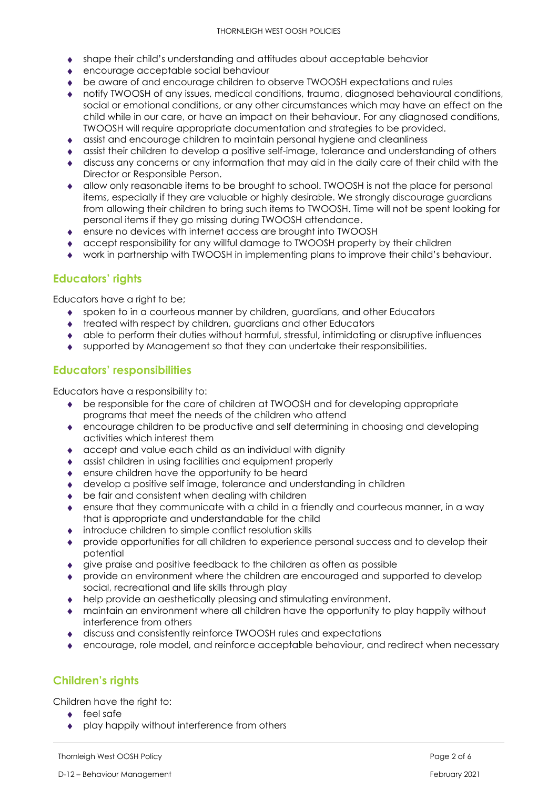- shape their child's understanding and attitudes about acceptable behavior
- encourage acceptable social behaviour
- be aware of and encourage children to observe TWOOSH expectations and rules
- notify TWOOSH of any issues, medical conditions, trauma, diagnosed behavioural conditions, social or emotional conditions, or any other circumstances which may have an effect on the child while in our care, or have an impact on their behaviour. For any diagnosed conditions, TWOOSH will require appropriate documentation and strategies to be provided.
- assist and encourage children to maintain personal hygiene and cleanliness
- assist their children to develop a positive self-image, tolerance and understanding of others
- discuss any concerns or any information that may aid in the daily care of their child with the Director or Responsible Person.
- allow only reasonable items to be brought to school. TWOOSH is not the place for personal items, especially if they are valuable or highly desirable. We strongly discourage guardians from allowing their children to bring such items to TWOOSH. Time will not be spent looking for personal items if they go missing during TWOOSH attendance.
- ensure no devices with internet access are brought into TWOOSH
- accept responsibility for any willful damage to TWOOSH property by their children
- work in partnership with TWOOSH in implementing plans to improve their child's behaviour.

#### **Educators' rights**

Educators have a right to be;

- spoken to in a courteous manner by children, guardians, and other Educators
- ◆ treated with respect by children, guardians and other Educators
- able to perform their duties without harmful, stressful, intimidating or disruptive influences
- supported by Management so that they can undertake their responsibilities.

#### **Educators' responsibilities**

Educators have a responsibility to:

- be responsible for the care of children at TWOOSH and for developing appropriate programs that meet the needs of the children who attend
- encourage children to be productive and self determining in choosing and developing activities which interest them
- accept and value each child as an individual with dignity
- assist children in using facilities and equipment properly
- ensure children have the opportunity to be heard
- develop a positive self image, tolerance and understanding in children
- ◆ be fair and consistent when dealing with children
- ensure that they communicate with a child in a friendly and courteous manner, in a way that is appropriate and understandable for the child
- introduce children to simple conflict resolution skills
- provide opportunities for all children to experience personal success and to develop their potential
- give praise and positive feedback to the children as often as possible
- provide an environment where the children are encouraged and supported to develop social, recreational and life skills through play
- help provide an aesthetically pleasing and stimulating environment.
- maintain an environment where all children have the opportunity to play happily without interference from others
- discuss and consistently reinforce TWOOSH rules and expectations
- encourage, role model, and reinforce acceptable behaviour, and redirect when necessary

#### **Children's rights**

Children have the right to:

- $\leftarrow$  feel safe
- ◆ play happily without interference from others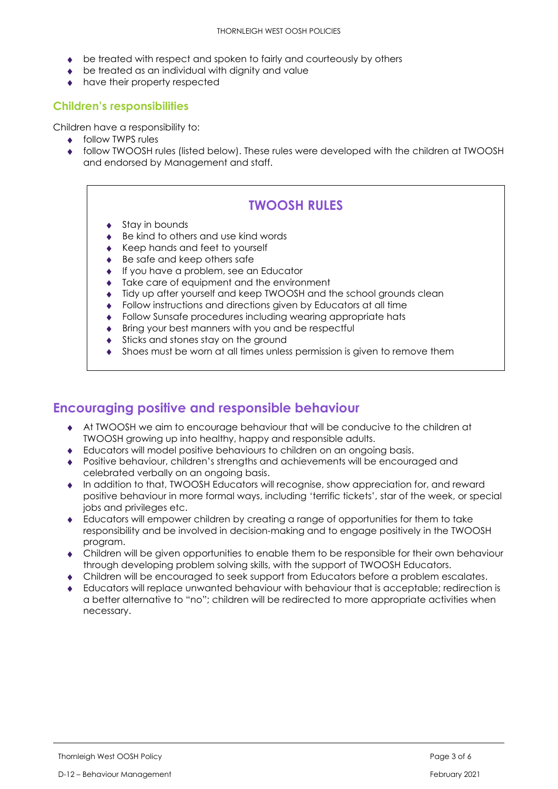- be treated with respect and spoken to fairly and courteously by others
- ◆ be treated as an individual with dianity and value
- have their property respected

#### **Children's responsibilities**

Children have a responsibility to:

- ◆ follow TWPS rules
- follow TWOOSH rules (listed below). These rules were developed with the children at TWOOSH and endorsed by Management and staff.

# **TWOOSH RULES**

- Stay in bounds
- Be kind to others and use kind words
- ◆ Keep hands and feet to yourself
- ◆ Be safe and keep others safe
- ◆ If you have a problem, see an Educator
- Take care of equipment and the environment
- Tidy up after yourself and keep TWOOSH and the school grounds clean
- Follow instructions and directions given by Educators at all time
- Follow Sunsafe procedures including wearing appropriate hats
- ◆ Bring your best manners with you and be respectful
- Sticks and stones stay on the ground
- Shoes must be worn at all times unless permission is given to remove them

## **Encouraging positive and responsible behaviour**

- At TWOOSH we aim to encourage behaviour that will be conducive to the children at TWOOSH growing up into healthy, happy and responsible adults.
- Educators will model positive behaviours to children on an ongoing basis.
- Positive behaviour, children's strengths and achievements will be encouraged and celebrated verbally on an ongoing basis.
- In addition to that, TWOOSH Educators will recognise, show appreciation for, and reward positive behaviour in more formal ways, including 'terrific tickets', star of the week, or special jobs and privileges etc.
- Educators will empower children by creating a range of opportunities for them to take responsibility and be involved in decision-making and to engage positively in the TWOOSH program.
- Children will be given opportunities to enable them to be responsible for their own behaviour through developing problem solving skills, with the support of TWOOSH Educators.
- Children will be encouraged to seek support from Educators before a problem escalates.
- Educators will replace unwanted behaviour with behaviour that is acceptable; redirection is a better alternative to "no"; children will be redirected to more appropriate activities when necessary.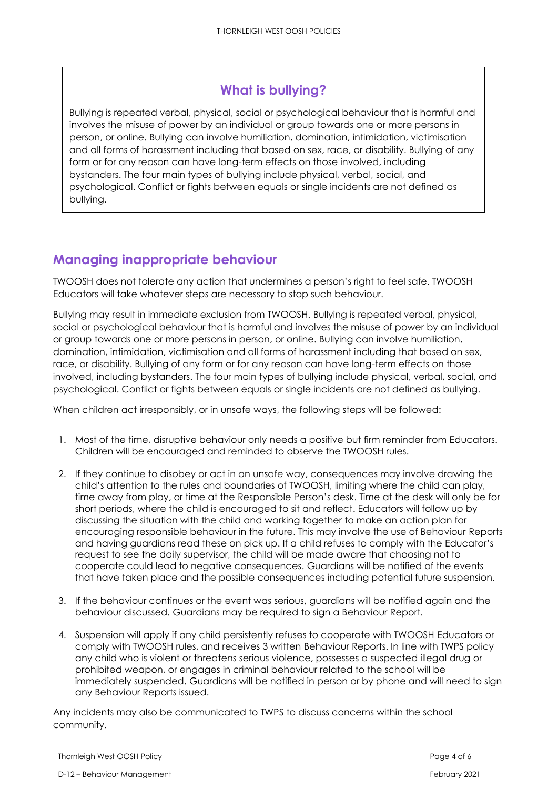# **What is bullying?**

Bullying is repeated verbal, physical, social or psychological behaviour that is harmful and involves the misuse of power by an individual or group towards one or more persons in person, or online. Bullying can involve humiliation, domination, intimidation, victimisation and all forms of harassment including that based on sex, race, or disability. Bullying of any form or for any reason can have long-term effects on those involved, including bystanders. The four main types of bullying include physical, verbal, social, and psychological. Conflict or fights between equals or single incidents are not defined as bullying.

# **Managing inappropriate behaviour**

TWOOSH does not tolerate any action that undermines a person's right to feel safe. TWOOSH Educators will take whatever steps are necessary to stop such behaviour.

Bullying may result in immediate exclusion from TWOOSH. Bullying is repeated verbal, physical, social or psychological behaviour that is harmful and involves the misuse of power by an individual or group towards one or more persons in person, or online. Bullying can involve humiliation, domination, intimidation, victimisation and all forms of harassment including that based on sex, race, or disability. Bullying of any form or for any reason can have long-term effects on those involved, including bystanders. The four main types of bullying include physical, verbal, social, and psychological. Conflict or fights between equals or single incidents are not defined as bullying.

When children act irresponsibly, or in unsafe ways, the following steps will be followed:

- 1. Most of the time, disruptive behaviour only needs a positive but firm reminder from Educators. Children will be encouraged and reminded to observe the TWOOSH rules.
- 2. If they continue to disobey or act in an unsafe way, consequences may involve drawing the child's attention to the rules and boundaries of TWOOSH, limiting where the child can play, time away from play, or time at the Responsible Person's desk. Time at the desk will only be for short periods, where the child is encouraged to sit and reflect. Educators will follow up by discussing the situation with the child and working together to make an action plan for encouraging responsible behaviour in the future. This may involve the use of Behaviour Reports and having guardians read these on pick up. If a child refuses to comply with the Educator's request to see the daily supervisor, the child will be made aware that choosing not to cooperate could lead to negative consequences. Guardians will be notified of the events that have taken place and the possible consequences including potential future suspension.
- 3. If the behaviour continues or the event was serious, guardians will be notified again and the behaviour discussed. Guardians may be required to sign a Behaviour Report.
- 4. Suspension will apply if any child persistently refuses to cooperate with TWOOSH Educators or comply with TWOOSH rules, and receives 3 written Behaviour Reports. In line with TWPS policy any child who is violent or threatens serious violence, possesses a suspected illegal drug or prohibited weapon, or engages in criminal behaviour related to the school will be immediately suspended. Guardians will be notified in person or by phone and will need to sign any Behaviour Reports issued.

Any incidents may also be communicated to TWPS to discuss concerns within the school community.

Thornleigh West OOSH Policy **Page 4 of 6**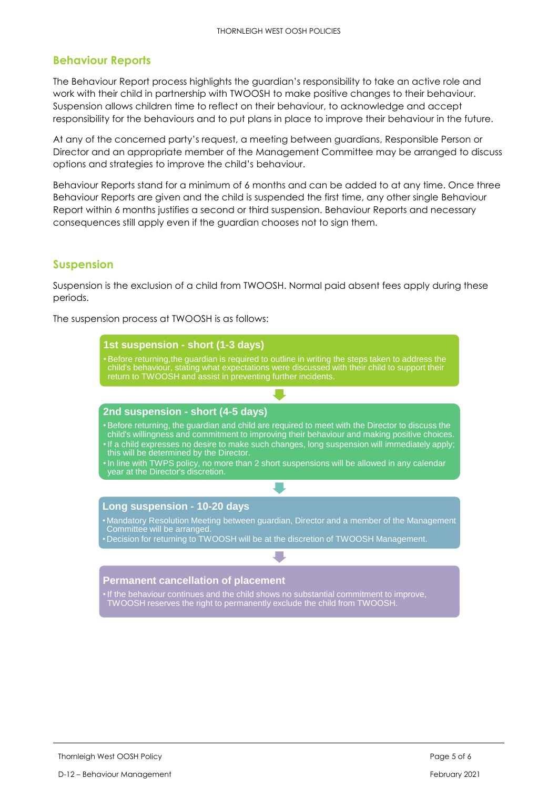#### **Behaviour Reports**

The Behaviour Report process highlights the guardian's responsibility to take an active role and work with their child in partnership with TWOOSH to make positive changes to their behaviour. Suspension allows children time to reflect on their behaviour, to acknowledge and accept responsibility for the behaviours and to put plans in place to improve their behaviour in the future.

At any of the concerned party's request, a meeting between guardians, Responsible Person or Director and an appropriate member of the Management Committee may be arranged to discuss options and strategies to improve the child's behaviour.

Behaviour Reports stand for a minimum of 6 months and can be added to at any time. Once three Behaviour Reports are given and the child is suspended the first time, any other single Behaviour Report within 6 months justifies a second or third suspension. Behaviour Reports and necessary consequences still apply even if the guardian chooses not to sign them.

#### **Suspension**

Suspension is the exclusion of a child from TWOOSH. Normal paid absent fees apply during these periods.

The suspension process at TWOOSH is as follows:

| 1st suspension - short (1-3 days)                                                                                                                                                                                                                                                                                                                                                                                                              |  |  |  |
|------------------------------------------------------------------------------------------------------------------------------------------------------------------------------------------------------------------------------------------------------------------------------------------------------------------------------------------------------------------------------------------------------------------------------------------------|--|--|--|
| • Before returning, the guardian is required to outline in writing the steps taken to address the<br>child's behaviour, stating what expectations were discussed with their child to support their<br>return to TWOOSH and assist in preventing further incidents.                                                                                                                                                                             |  |  |  |
|                                                                                                                                                                                                                                                                                                                                                                                                                                                |  |  |  |
| 2nd suspension - short (4-5 days)                                                                                                                                                                                                                                                                                                                                                                                                              |  |  |  |
| • Before returning, the guardian and child are required to meet with the Director to discuss the<br>child's willingness and commitment to improving their behaviour and making positive choices.<br>. If a child expresses no desire to make such changes, long suspension will immediately apply;<br>this will be determined by the Director.<br>. In line with TWPS policy, no more than 2 short suspensions will be allowed in any calendar |  |  |  |
| year at the Director's discretion.                                                                                                                                                                                                                                                                                                                                                                                                             |  |  |  |
|                                                                                                                                                                                                                                                                                                                                                                                                                                                |  |  |  |
| Long suspension - 10-20 days                                                                                                                                                                                                                                                                                                                                                                                                                   |  |  |  |
| • Mandatory Resolution Meeting between guardian, Director and a member of the Management<br>Committee will be arranged.                                                                                                                                                                                                                                                                                                                        |  |  |  |
| • Decision for returning to TWOOSH will be at the discretion of TWOOSH Management.                                                                                                                                                                                                                                                                                                                                                             |  |  |  |
|                                                                                                                                                                                                                                                                                                                                                                                                                                                |  |  |  |
| <b>Permanent cancellation of placement</b>                                                                                                                                                                                                                                                                                                                                                                                                     |  |  |  |
| . If the behaviour continues and the child shows no substantial commitment to improve,<br>TWOOSH reserves the right to permanently exclude the child from TWOOSH.                                                                                                                                                                                                                                                                              |  |  |  |